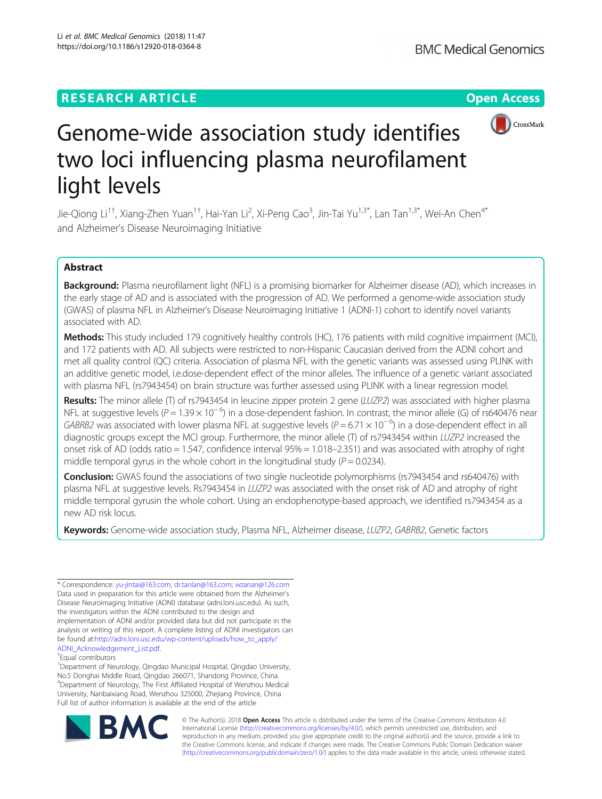# **RESEARCH ARTICLE Example 2014 12:30 The Contract of Contract ACCESS**



# Genome-wide association study identifies two loci influencing plasma neurofilament light levels

Jie-Qiong Li<sup>1†</sup>, Xiang-Zhen Yuan<sup>1†</sup>, Hai-Yan Li<sup>2</sup>, Xi-Peng Cao<sup>3</sup>, Jin-Tai Yu<sup>1,3\*</sup>, Lan Tan<sup>1,3\*</sup>, Wei-An Chen<sup>4\*</sup> and Alzheimer's Disease Neuroimaging Initiative

# Abstract

Background: Plasma neurofilament light (NFL) is a promising biomarker for Alzheimer disease (AD), which increases in the early stage of AD and is associated with the progression of AD. We performed a genome-wide association study (GWAS) of plasma NFL in Alzheimer's Disease Neuroimaging Initiative 1 (ADNI-1) cohort to identify novel variants associated with AD.

Methods: This study included 179 cognitively healthy controls (HC), 176 patients with mild cognitive impairment (MCI), and 172 patients with AD. All subjects were restricted to non-Hispanic Caucasian derived from the ADNI cohort and met all quality control (QC) criteria. Association of plasma NFL with the genetic variants was assessed using PLINK with an additive genetic model, i.e.dose-dependent effect of the minor alleles. The influence of a genetic variant associated with plasma NFL (rs7943454) on brain structure was further assessed using PLINK with a linear regression model.

Results: The minor allele (T) of rs7943454 in leucine zipper protein 2 gene (LUZP2) was associated with higher plasma NFL at suggestive levels ( $P = 1.39 \times 10^{-6}$ ) in a dose-dependent fashion. In contrast, the minor allele (G) of rs640476 near GABRB2 was associated with lower plasma NFL at suggestive levels ( $P = 6.71 \times 10^{-6}$ ) in a dose-dependent effect in all diagnostic groups except the MCI group. Furthermore, the minor allele (T) of rs7943454 within LUZP2 increased the onset risk of AD (odds ratio = 1.547, confidence interval 95% = 1.018–2.351) and was associated with atrophy of right middle temporal gyrus in the whole cohort in the longitudinal study ( $P = 0.0234$ ).

Conclusion: GWAS found the associations of two single nucleotide polymorphisms (rs7943454 and rs640476) with plasma NFL at suggestive levels. Rs7943454 in LUZP2 was associated with the onset risk of AD and atrophy of right middle temporal gyrusin the whole cohort. Using an endophenotype-based approach, we identified rs7943454 as a new AD risk locus.

Keywords: Genome-wide association study, Plasma NFL, Alzheimer disease, LUZP2, GABRB2, Genetic factors

\* Correspondence: [yu-jintai@163.com](mailto:yu-jintai@163.com); [dr.tanlan@163.com](mailto:dr.tanlan@163.com); [wzanan@126.com](mailto:wzanan@126.com) Data used in preparation for this article were obtained from the Alzheimer's Disease Neuroimaging Initiative (ADNI) database (adni.loni.usc.edu). As such, the investigators within the ADNI contributed to the design and implementation of ADNI and/or provided data but did not participate in the analysis or writing of this report. A complete listing of ADNI investigators can be found at:http://adni.loni.usc.edu/wp-content/uploads/how\_to\_apply/ ADNI\_Acknowledgement\_List.pdf. †

Equal contributors

<sup>1</sup>Department of Neurology, Qingdao Municipal Hospital, Qingdao University, No.5 Donghai Middle Road, Qingdao 266071, Shandong Province, China 4 Department of Neurology, The First Affiliated Hospital of Wenzhou Medical University, Nanbaixiang Road, Wenzhou 325000, Zhejiang Province, China Full list of author information is available at the end of the article



© The Author(s). 2018 Open Access This article is distributed under the terms of the Creative Commons Attribution 4.0 International License [\(http://creativecommons.org/licenses/by/4.0/](http://creativecommons.org/licenses/by/4.0/)), which permits unrestricted use, distribution, and reproduction in any medium, provided you give appropriate credit to the original author(s) and the source, provide a link to the Creative Commons license, and indicate if changes were made. The Creative Commons Public Domain Dedication waiver [\(http://creativecommons.org/publicdomain/zero/1.0/](http://creativecommons.org/publicdomain/zero/1.0/)) applies to the data made available in this article, unless otherwise stated.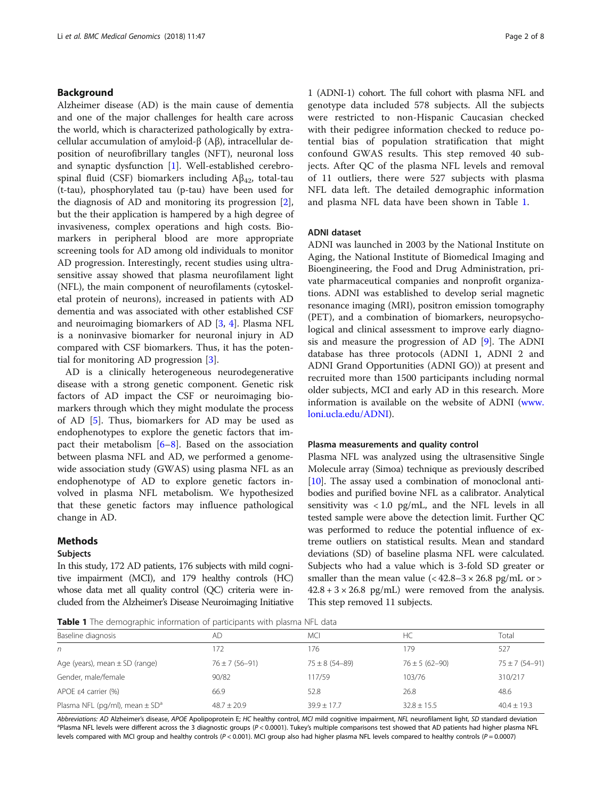# <span id="page-1-0"></span>Background

Alzheimer disease (AD) is the main cause of dementia and one of the major challenges for health care across the world, which is characterized pathologically by extracellular accumulation of amyloid-β (Aβ), intracellular deposition of neurofibrillary tangles (NFT), neuronal loss and synaptic dysfunction [\[1](#page-6-0)]. Well-established cerebrospinal fluid (CSF) biomarkers including  $\mathcal{AB}_{42}$ , total-tau (t-tau), phosphorylated tau (p-tau) have been used for the diagnosis of AD and monitoring its progression [\[2](#page-6-0)], but the their application is hampered by a high degree of invasiveness, complex operations and high costs. Biomarkers in peripheral blood are more appropriate screening tools for AD among old individuals to monitor AD progression. Interestingly, recent studies using ultrasensitive assay showed that plasma neurofilament light (NFL), the main component of neurofilaments (cytoskeletal protein of neurons), increased in patients with AD dementia and was associated with other established CSF and neuroimaging biomarkers of AD [\[3,](#page-6-0) [4](#page-6-0)]. Plasma NFL is a noninvasive biomarker for neuronal injury in AD compared with CSF biomarkers. Thus, it has the potential for monitoring AD progression [\[3](#page-6-0)].

AD is a clinically heterogeneous neurodegenerative disease with a strong genetic component. Genetic risk factors of AD impact the CSF or neuroimaging biomarkers through which they might modulate the process of AD [[5\]](#page-6-0). Thus, biomarkers for AD may be used as endophenotypes to explore the genetic factors that impact their metabolism  $[6-8]$  $[6-8]$  $[6-8]$ . Based on the association between plasma NFL and AD, we performed a genomewide association study (GWAS) using plasma NFL as an endophenotype of AD to explore genetic factors involved in plasma NFL metabolism. We hypothesized that these genetic factors may influence pathological change in AD.

# Methods

#### Subjects

In this study, 172 AD patients, 176 subjects with mild cognitive impairment (MCI), and 179 healthy controls (HC) whose data met all quality control (QC) criteria were included from the Alzheimer's Disease Neuroimaging Initiative

1 (ADNI-1) cohort. The full cohort with plasma NFL and genotype data included 578 subjects. All the subjects were restricted to non-Hispanic Caucasian checked with their pedigree information checked to reduce potential bias of population stratification that might confound GWAS results. This step removed 40 subjects. After QC of the plasma NFL levels and removal of 11 outliers, there were 527 subjects with plasma NFL data left. The detailed demographic information and plasma NFL data have been shown in Table 1.

# ADNI dataset

ADNI was launched in 2003 by the National Institute on Aging, the National Institute of Biomedical Imaging and Bioengineering, the Food and Drug Administration, private pharmaceutical companies and nonprofit organizations. ADNI was established to develop serial magnetic resonance imaging (MRI), positron emission tomography (PET), and a combination of biomarkers, neuropsychological and clinical assessment to improve early diagnosis and measure the progression of AD [[9\]](#page-6-0). The ADNI database has three protocols (ADNI 1, ADNI 2 and ADNI Grand Opportunities (ADNI GO)) at present and recruited more than 1500 participants including normal older subjects, MCI and early AD in this research. More information is available on the website of ADNI ([www.](http://www.loni.ucla.edu/ADNI) [loni.ucla.edu/ADNI\)](http://www.loni.ucla.edu/ADNI).

#### Plasma measurements and quality control

Plasma NFL was analyzed using the ultrasensitive Single Molecule array (Simoa) technique as previously described [[10](#page-6-0)]. The assay used a combination of monoclonal antibodies and purified bovine NFL as a calibrator. Analytical sensitivity was  $\langle 1.0 \text{ pg/mL} \rangle$ , and the NFL levels in all tested sample were above the detection limit. Further QC was performed to reduce the potential influence of extreme outliers on statistical results. Mean and standard deviations (SD) of baseline plasma NFL were calculated. Subjects who had a value which is 3-fold SD greater or smaller than the mean value  $\left($  < 42.8–3  $\times$  26.8 pg/mL or >  $42.8 + 3 \times 26.8$  pg/mL) were removed from the analysis. This step removed 11 subjects.

**Table 1** The demographic information of participants with plasma NFL data

| AD                  | <b>MCI</b>           | НC                  | Total               |  |
|---------------------|----------------------|---------------------|---------------------|--|
| 172                 | 176                  | 179                 | 527                 |  |
| $76 \pm 7(56 - 91)$ | $75 \pm 8 (54 - 89)$ | $76 \pm 5(62 - 90)$ | $75 \pm 7(54 - 91)$ |  |
| 90/82               | 117/59               | 103/76              | 310/217             |  |
| 66.9                | 52.8                 | 26.8                | 48.6                |  |
| $48.7 \pm 20.9$     | $39.9 + 17.7$        | $32.8 \pm 15.5$     | $40.4 \pm 19.3$     |  |
|                     |                      |                     |                     |  |

Abbreviations: AD Alzheimer's disease, APOE Apolipoprotein E; HC healthy control, MCI mild cognitive impairment, NFL neurofilament light, SD standard deviation <sup>a</sup>Plasma NFL levels were different across the 3 diagnostic groups ( $P < 0.0001$ ). Tukey's multiple comparisons test showed that AD patients had higher plasma NFL levels compared with MCI group and healthy controls (P < 0.001). MCI group also had higher plasma NFL levels compared to healthy controls (P = 0.0007)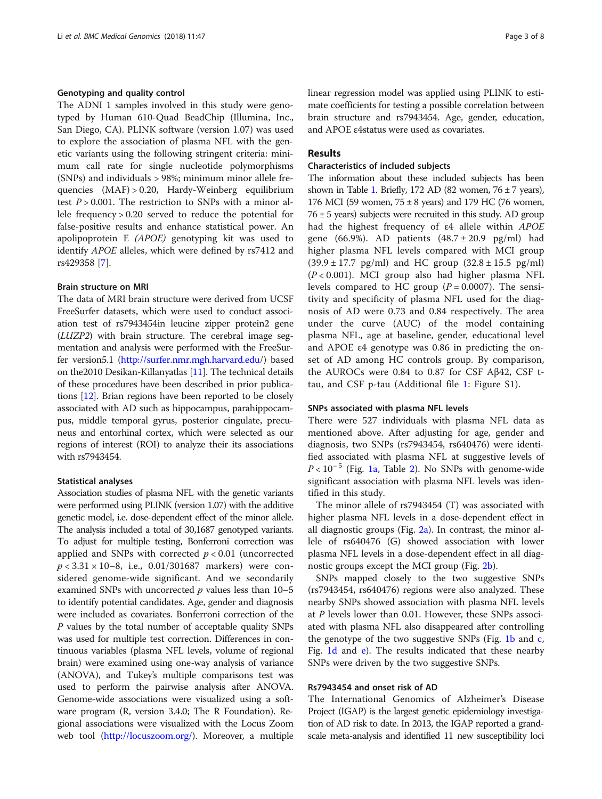#### Genotyping and quality control

The ADNI 1 samples involved in this study were genotyped by Human 610-Quad BeadChip (Illumina, Inc., San Diego, CA). PLINK software (version 1.07) was used to explore the association of plasma NFL with the genetic variants using the following stringent criteria: minimum call rate for single nucleotide polymorphisms (SNPs) and individuals > 98%; minimum minor allele frequencies (MAF) > 0.20, Hardy-Weinberg equilibrium test  $P > 0.001$ . The restriction to SNPs with a minor allele frequency > 0.20 served to reduce the potential for false-positive results and enhance statistical power. An apolipoprotein E (APOE) genotyping kit was used to identify APOE alleles, which were defined by rs7412 and rs429358 [[7\]](#page-6-0).

#### Brain structure on MRI

The data of MRI brain structure were derived from UCSF FreeSurfer datasets, which were used to conduct association test of rs7943454in leucine zipper protein2 gene (LUZP2) with brain structure. The cerebral image segmentation and analysis were performed with the FreeSurfer version5.1 (<http://surfer.nmr.mgh.harvard.edu>/) based on the2010 Desikan-Killanyatlas [[11](#page-6-0)]. The technical details of these procedures have been described in prior publications [[12](#page-6-0)]. Brian regions have been reported to be closely associated with AD such as hippocampus, parahippocampus, middle temporal gyrus, posterior cingulate, precuneus and entorhinal cortex, which were selected as our regions of interest (ROI) to analyze their its associations with rs7943454.

#### Statistical analyses

Association studies of plasma NFL with the genetic variants were performed using PLINK (version 1.07) with the additive genetic model, i.e. dose-dependent effect of the minor allele. The analysis included a total of 30,1687 genotyped variants. To adjust for multiple testing, Bonferroni correction was applied and SNPs with corrected  $p < 0.01$  (uncorrected  $p < 3.31 \times 10-8$ , i.e., 0.01/301687 markers) were considered genome-wide significant. And we secondarily examined SNPs with uncorrected  $p$  values less than  $10-5$ to identify potential candidates. Age, gender and diagnosis were included as covariates. Bonferroni correction of the P values by the total number of acceptable quality SNPs was used for multiple test correction. Differences in continuous variables (plasma NFL levels, volume of regional brain) were examined using one-way analysis of variance (ANOVA), and Tukey's multiple comparisons test was used to perform the pairwise analysis after ANOVA. Genome-wide associations were visualized using a software program (R, version 3.4.0; The R Foundation). Regional associations were visualized with the Locus Zoom web tool (<http://locuszoom.org/>). Moreover, a multiple linear regression model was applied using PLINK to estimate coefficients for testing a possible correlation between brain structure and rs7943454. Age, gender, education, and APOE ε4status were used as covariates.

# Results

## Characteristics of included subjects

The information about these included subjects has been shown in Table [1.](#page-1-0) Briefly, 172 AD (82 women,  $76 \pm 7$  years), 176 MCI (59 women,  $75 \pm 8$  years) and 179 HC (76 women,  $76 \pm 5$  years) subjects were recruited in this study. AD group had the highest frequency of ε4 allele within APOE gene (66.9%). AD patients  $(48.7 \pm 20.9 \text{ pg/ml})$  had higher plasma NFL levels compared with MCI group  $(39.9 \pm 17.7 \text{ pg/ml})$  and HC group  $(32.8 \pm 15.5 \text{ pg/ml})$  $(P < 0.001)$ . MCI group also had higher plasma NFL levels compared to HC group  $(P = 0.0007)$ . The sensitivity and specificity of plasma NFL used for the diagnosis of AD were 0.73 and 0.84 respectively. The area under the curve (AUC) of the model containing plasma NFL, age at baseline, gender, educational level and APOE ε4 genotype was 0.86 in predicting the onset of AD among HC controls group. By comparison, the AUROCs were 0.84 to 0.87 for CSF Aβ42, CSF ttau, and CSF p-tau (Additional file [1](#page-5-0): Figure S1).

# SNPs associated with plasma NFL levels

There were 527 individuals with plasma NFL data as mentioned above. After adjusting for age, gender and diagnosis, two SNPs (rs7943454, rs640476) were identified associated with plasma NFL at suggestive levels of  $P < 10^{-5}$  (Fig. [1a,](#page-3-0) Table [2](#page-3-0)). No SNPs with genome-wide significant association with plasma NFL levels was identified in this study.

The minor allele of rs7943454 (T) was associated with higher plasma NFL levels in a dose-dependent effect in all diagnostic groups (Fig.  $2a$ ). In contrast, the minor allele of rs640476 (G) showed association with lower plasma NFL levels in a dose-dependent effect in all diagnostic groups except the MCI group (Fig. [2b\)](#page-4-0).

SNPs mapped closely to the two suggestive SNPs (rs7943454, rs640476) regions were also analyzed. These nearby SNPs showed association with plasma NFL levels at P levels lower than 0.01. However, these SNPs associated with plasma NFL also disappeared after controlling the genotype of the two suggestive SNPs (Fig.  $1b$  and  $c$ , Fig. 1 $d$  and  $e$ ). The results indicated that these nearby SNPs were driven by the two suggestive SNPs.

## Rs7943454 and onset risk of AD

The International Genomics of Alzheimer's Disease Project (IGAP) is the largest genetic epidemiology investigation of AD risk to date. In 2013, the IGAP reported a grandscale meta-analysis and identified 11 new susceptibility loci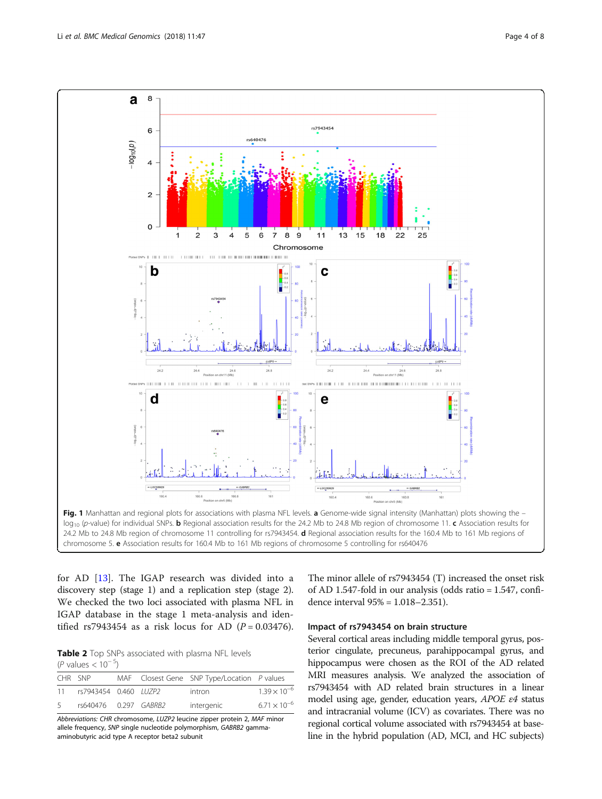<span id="page-3-0"></span>

24.2 Mb to 24.8 Mb region of chromosome 11 controlling for rs7943454. d Regional association results for the 160.4 Mb to 161 Mb regions of chromosome 5. e Association results for 160.4 Mb to 161 Mb regions of chromosome 5 controlling for rs640476

for AD [[13\]](#page-6-0). The IGAP research was divided into a discovery step (stage 1) and a replication step (stage 2). We checked the two loci associated with plasma NFL in IGAP database in the stage 1 meta-analysis and identified rs7943454 as a risk locus for AD  $(P = 0.03476)$ .

Table 2 Top SNPs associated with plasma NFL levels  $(P \text{ values} < 10^{-5})$ 

|    | CHR SNP                  |  | MAF Closest Gene SNP Type/Location P values |                       |
|----|--------------------------|--|---------------------------------------------|-----------------------|
|    | 11 rs7943454 0.460 IUZP2 |  | intron                                      | $1.39 \times 10^{-6}$ |
| -5 | rs640476 0.297 GABRB2    |  | intergenic                                  | $6.71 \times 10^{-6}$ |

Abbreviations: CHR chromosome, LUZP2 leucine zipper protein 2, MAF minor allele frequency, SNP single nucleotide polymorphism, GABRB2 gammaaminobutyric acid type A receptor beta2 subunit

The minor allele of rs7943454 (T) increased the onset risk of AD 1.547-fold in our analysis (odds ratio = 1.547, confidence interval 95% = 1.018–2.351).

# Impact of rs7943454 on brain structure

Several cortical areas including middle temporal gyrus, posterior cingulate, precuneus, parahippocampal gyrus, and hippocampus were chosen as the ROI of the AD related MRI measures analysis. We analyzed the association of rs7943454 with AD related brain structures in a linear model using age, gender, education years, APOE ε4 status and intracranial volume (ICV) as covariates. There was no regional cortical volume associated with rs7943454 at baseline in the hybrid population (AD, MCI, and HC subjects)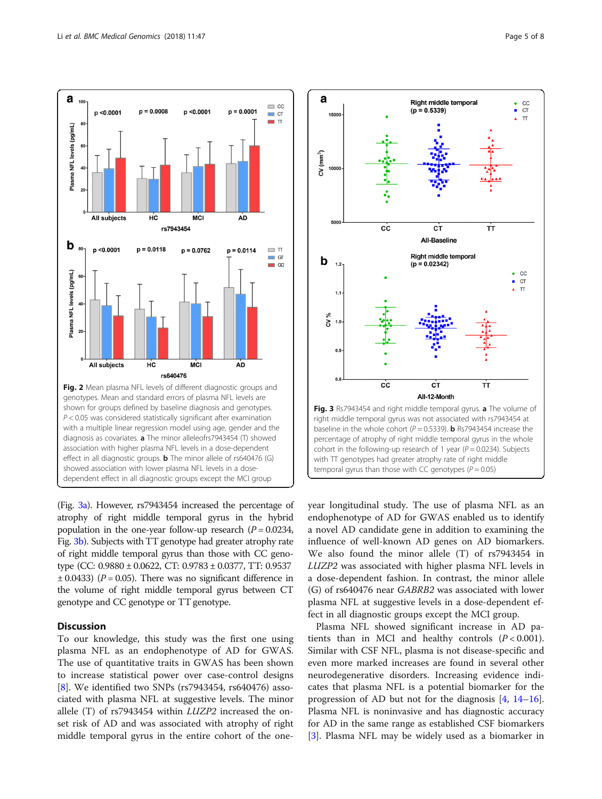$p = 0.0008$ 

 $p < 0.0001$ 

<span id="page-4-0"></span> $\mathbf{a}$ 

 $10<sub>1</sub>$ 

 $p < 0.0001$ 



 $\equiv$  cc

 $\Box$  CT

 $\blacksquare$ 

 $p = 0.0001$ 

(Fig. 3a). However, rs7943454 increased the percentage of atrophy of right middle temporal gyrus in the hybrid population in the one-year follow-up research  $(P = 0.0234,$ Fig. 3b). Subjects with TT genotype had greater atrophy rate of right middle temporal gyrus than those with CC genotype (CC: 0.9880 ± 0.0622, CT: 0.9783 ± 0.0377, TT: 0.9537  $\pm$  0.0433) (P = 0.05). There was no significant difference in the volume of right middle temporal gyrus between CT genotype and CC genotype or TT genotype.

# **Discussion**

To our knowledge, this study was the first one using plasma NFL as an endophenotype of AD for GWAS. The use of quantitative traits in GWAS has been shown to increase statistical power over case-control designs [[8\]](#page-6-0). We identified two SNPs (rs7943454, rs640476) associated with plasma NFL at suggestive levels. The minor allele (T) of rs7943454 within LUZP2 increased the onset risk of AD and was associated with atrophy of right middle temporal gyrus in the entire cohort of the one-



year longitudinal study. The use of plasma NFL as an endophenotype of AD for GWAS enabled us to identify a novel AD candidate gene in addition to examining the influence of well-known AD genes on AD biomarkers. We also found the minor allele (T) of rs7943454 in LUZP2 was associated with higher plasma NFL levels in a dose-dependent fashion. In contrast, the minor allele (G) of rs640476 near GABRB2 was associated with lower plasma NFL at suggestive levels in a dose-dependent effect in all diagnostic groups except the MCI group.

Plasma NFL showed significant increase in AD patients than in MCI and healthy controls  $(P < 0.001)$ . Similar with CSF NFL, plasma is not disease-specific and even more marked increases are found in several other neurodegenerative disorders. Increasing evidence indicates that plasma NFL is a potential biomarker for the progression of AD but not for the diagnosis [[4,](#page-6-0) [14](#page-7-0)–[16](#page-7-0)]. Plasma NFL is noninvasive and has diagnostic accuracy for AD in the same range as established CSF biomarkers [[3\]](#page-6-0). Plasma NFL may be widely used as a biomarker in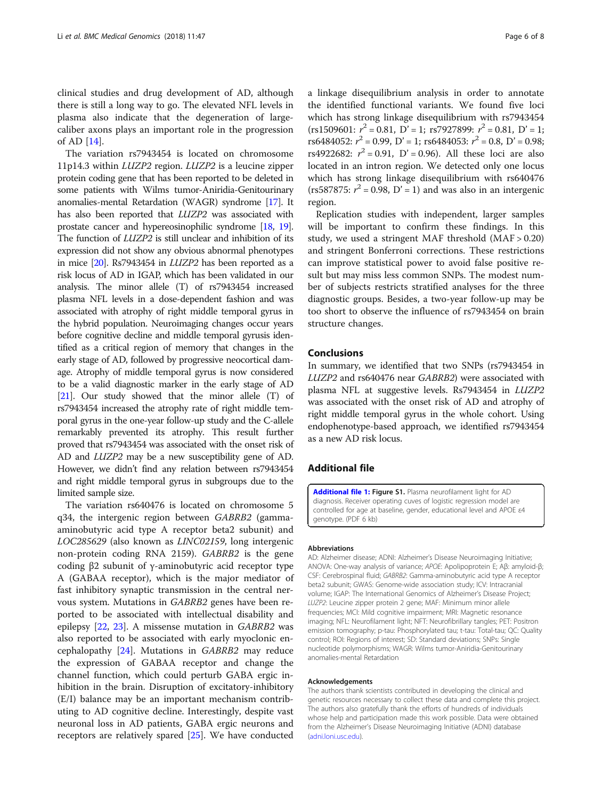<span id="page-5-0"></span>clinical studies and drug development of AD, although there is still a long way to go. The elevated NFL levels in plasma also indicate that the degeneration of largecaliber axons plays an important role in the progression of AD [[14\]](#page-7-0).

The variation rs7943454 is located on chromosome 11p14.3 within LUZP2 region. LUZP2 is a leucine zipper protein coding gene that has been reported to be deleted in some patients with Wilms tumor-Aniridia-Genitourinary anomalies-mental Retardation (WAGR) syndrome [[17](#page-7-0)]. It has also been reported that LUZP2 was associated with prostate cancer and hypereosinophilic syndrome [\[18,](#page-7-0) [19](#page-7-0)]. The function of LUZP2 is still unclear and inhibition of its expression did not show any obvious abnormal phenotypes in mice [\[20](#page-7-0)]. Rs7943454 in LUZP2 has been reported as a risk locus of AD in IGAP, which has been validated in our analysis. The minor allele (T) of rs7943454 increased plasma NFL levels in a dose-dependent fashion and was associated with atrophy of right middle temporal gyrus in the hybrid population. Neuroimaging changes occur years before cognitive decline and middle temporal gyrusis identified as a critical region of memory that changes in the early stage of AD, followed by progressive neocortical damage. Atrophy of middle temporal gyrus is now considered to be a valid diagnostic marker in the early stage of AD [[21](#page-7-0)]. Our study showed that the minor allele (T) of rs7943454 increased the atrophy rate of right middle temporal gyrus in the one-year follow-up study and the C-allele remarkably prevented its atrophy. This result further proved that rs7943454 was associated with the onset risk of AD and LUZP2 may be a new susceptibility gene of AD. However, we didn't find any relation between rs7943454 and right middle temporal gyrus in subgroups due to the limited sample size.

The variation rs640476 is located on chromosome 5 q34, the intergenic region between GABRB2 (gammaaminobutyric acid type A receptor beta2 subunit) and LOC285629 (also known as LINC02159, long intergenic non-protein coding RNA 2159). GABRB2 is the gene coding β2 subunit of γ-aminobutyric acid receptor type A (GABAA receptor), which is the major mediator of fast inhibitory synaptic transmission in the central nervous system. Mutations in GABRB2 genes have been reported to be associated with intellectual disability and epilepsy [\[22](#page-7-0), [23\]](#page-7-0). A missense mutation in GABRB2 was also reported to be associated with early myoclonic encephalopathy [[24\]](#page-7-0). Mutations in GABRB2 may reduce the expression of GABAA receptor and change the channel function, which could perturb GABA ergic inhibition in the brain. Disruption of excitatory-inhibitory (E/I) balance may be an important mechanism contributing to AD cognitive decline. Interestingly, despite vast neuronal loss in AD patients, GABA ergic neurons and receptors are relatively spared [[25](#page-7-0)]. We have conducted

a linkage disequilibrium analysis in order to annotate the identified functional variants. We found five loci which has strong linkage disequilibrium with rs7943454  $(rs1509601: r<sup>2</sup> = 0.81, D' = 1; rs7927899: r<sup>2</sup> = 0.81, D' = 1;$ rs6484052:  $r^2 = 0.99$ , D' = 1; rs6484053:  $r^2 = 0.8$ , D' = 0.98; rs4922682:  $r^2 = 0.91$ , D' = 0.96). All these loci are also located in an intron region. We detected only one locus which has strong linkage disequilibrium with rs640476 (rs587875:  $r^2 = 0.98$ , D' = 1) and was also in an intergenic region.

Replication studies with independent, larger samples will be important to confirm these findings. In this study, we used a stringent MAF threshold (MAF > 0.20) and stringent Bonferroni corrections. These restrictions can improve statistical power to avoid false positive result but may miss less common SNPs. The modest number of subjects restricts stratified analyses for the three diagnostic groups. Besides, a two-year follow-up may be too short to observe the influence of rs7943454 on brain structure changes.

#### Conclusions

In summary, we identified that two SNPs (rs7943454 in LUZP2 and rs640476 near GABRB2) were associated with plasma NFL at suggestive levels. Rs7943454 in LUZP2 was associated with the onset risk of AD and atrophy of right middle temporal gyrus in the whole cohort. Using endophenotype-based approach, we identified rs7943454 as a new AD risk locus.

# Additional file

[Additional file 1:](https://doi.org/10.1186/s12920-018-0364-8) Figure S1. Plasma neurofilament light for AD diagnosis. Receiver operating cuves of logistic regression model are controlled for age at baseline, gender, educational level and APOE ε4 genotype. (PDF 6 kb)

#### Abbreviations

AD: Alzheimer disease; ADNI: Alzheimer's Disease Neuroimaging Initiative; ANOVA: One-way analysis of variance; APOE: Apolipoprotein E; Aβ: amyloid-β; CSF: Cerebrospinal fluid; GABRB2: Gamma-aminobutyric acid type A receptor beta2 subunit; GWAS: Genome-wide association study; ICV: Intracranial volume; IGAP: The International Genomics of Alzheimer's Disease Project; LUZP2: Leucine zipper protein 2 gene; MAF: Minimum minor allele frequencies; MCI: Mild cognitive impairment; MRI: Magnetic resonance imaging; NFL: Neurofilament light; NFT: Neurofibrillary tangles; PET: Positron emission tomography; p-tau: Phosphorylated tau; t-tau: Total-tau; QC: Quality control; ROI: Regions of interest; SD: Standard deviations; SNPs: Single nucleotide polymorphisms; WAGR: Wilms tumor-Aniridia-Genitourinary anomalies-mental Retardation

#### Acknowledgements

The authors thank scientists contributed in developing the clinical and genetic resources necessary to collect these data and complete this project. The authors also gratefully thank the efforts of hundreds of individuals whose help and participation made this work possible. Data were obtained from the Alzheimer's Disease Neuroimaging Initiative (ADNI) database ([adni.loni.usc.edu](http://adni.loni.usc.edu)).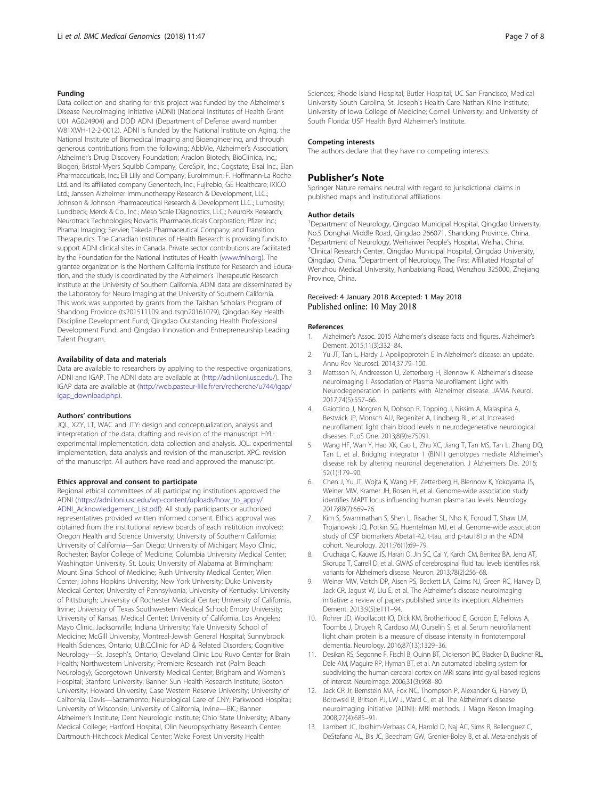#### <span id="page-6-0"></span>Funding

Data collection and sharing for this project was funded by the Alzheimer's Disease Neuroimaging Initiative (ADNI) (National Institutes of Health Grant U01 AG024904) and DOD ADNI (Department of Defense award number W81XWH-12-2-0012). ADNI is funded by the National Institute on Aging, the National Institute of Biomedical Imaging and Bioengineering, and through generous contributions from the following: AbbVie, Alzheimer's Association; Alzheimer's Drug Discovery Foundation; Araclon Biotech; BioClinica, Inc.; Biogen; Bristol-Myers Squibb Company; CereSpir, Inc.; Cogstate; Eisai Inc.; Elan Pharmaceuticals, Inc.; Eli Lilly and Company; EuroImmun; F. Hoffmann-La Roche Ltd. and its affiliated company Genentech, Inc.; Fujirebio; GE Healthcare; IXICO Ltd.; Janssen Alzheimer Immunotherapy Research & Development, LLC.; Johnson & Johnson Pharmaceutical Research & Development LLC.; Lumosity; Lundbeck; Merck & Co., Inc.; Meso Scale Diagnostics, LLC.; NeuroRx Research; Neurotrack Technologies; Novartis Pharmaceuticals Corporation; Pfizer Inc.; Piramal Imaging; Servier; Takeda Pharmaceutical Company; and Transition Therapeutics. The Canadian Institutes of Health Research is providing funds to support ADNI clinical sites in Canada. Private sector contributions are facilitated by the Foundation for the National Institutes of Health [\(www.fnih.org\)](http://www.fnih.org). The grantee organization is the Northern California Institute for Research and Education, and the study is coordinated by the Alzheimer's Therapeutic Research Institute at the University of Southern California. ADNI data are disseminated by the Laboratory for Neuro Imaging at the University of Southern California. This work was supported by grants from the Taishan Scholars Program of Shandong Province (ts201511109 and tsqn20161079), Qingdao Key Health Discipline Development Fund, Qingdao Outstanding Health Professional Development Fund, and Qingdao Innovation and Entrepreneurship Leading Talent Program.

#### Availability of data and materials

Data are available to researchers by applying to the respective organizations, ADNI and IGAP. The ADNI data are available at (<http://adni.loni.usc.edu>/). The IGAP data are available at ([http://web.pasteur-lille.fr/en/recherche/u744/igap/](http://web.pasteur-lille.fr/en/recherche/u744/igap/igap_download.php) [igap\\_download.php](http://web.pasteur-lille.fr/en/recherche/u744/igap/igap_download.php)).

#### Authors' contributions

JQL, XZY, LT, WAC and JTY: design and conceptualization, analysis and interpretation of the data, drafting and revision of the manuscript. HYL: experimental implementation, data collection and analysis. JQL: experimental implementation, data analysis and revision of the manuscript. XPC: revision of the manuscript. All authors have read and approved the manuscript.

#### Ethics approval and consent to participate

Regional ethical committees of all participating institutions approved the ADNI [\(https://adni.loni.usc.edu/wp-content/uploads/how\\_to\\_apply/](https://adni.loni.usc.edu/wp-content/uploads/how_to_apply/ADNI_Acknowledgement_List.pdf) [ADNI\\_Acknowledgement\\_List.pdf](https://adni.loni.usc.edu/wp-content/uploads/how_to_apply/ADNI_Acknowledgement_List.pdf)). All study participants or authorized representatives provided written informed consent. Ethics approval was obtained from the institutional review boards of each institution involved: Oregon Health and Science University; University of Southern California; University of California—San Diego; University of Michigan; Mayo Clinic, Rochester; Baylor College of Medicine; Columbia University Medical Center; Washington University, St. Louis; University of Alabama at Birmingham; Mount Sinai School of Medicine; Rush University Medical Center; Wien Center; Johns Hopkins University; New York University; Duke University Medical Center; University of Pennsylvania; University of Kentucky; University of Pittsburgh; University of Rochester Medical Center; University of California, Irvine; University of Texas Southwestern Medical School; Emory University; University of Kansas, Medical Center; University of California, Los Angeles; Mayo Clinic, Jacksonville; Indiana University; Yale University School of Medicine; McGill University, Montreal-Jewish General Hospital; Sunnybrook Health Sciences, Ontario; U.B.C.Clinic for AD & Related Disorders; Cognitive Neurology—St. Joseph's, Ontario; Cleveland Clinic Lou Ruvo Center for Brain Health; Northwestern University; Premiere Research Inst (Palm Beach Neurology); Georgetown University Medical Center; Brigham and Women's Hospital; Stanford University; Banner Sun Health Research Institute; Boston University; Howard University; Case Western Reserve University; University of California, Davis—Sacramento; Neurological Care of CNY; Parkwood Hospital; University of Wisconsin; University of California, Irvine—BIC; Banner Alzheimer's Institute; Dent Neurologic Institute; Ohio State University; Albany Medical College; Hartford Hospital, Olin Neuropsychiatry Research Center; Dartmouth-Hitchcock Medical Center; Wake Forest University Health

Sciences; Rhode Island Hospital; Butler Hospital; UC San Francisco; Medical University South Carolina; St. Joseph's Health Care Nathan Kline Institute; University of Iowa College of Medicine; Cornell University; and University of South Florida: USF Health Byrd Alzheimer's Institute.

#### Competing interests

The authors declare that they have no competing interests.

#### Publisher's Note

Springer Nature remains neutral with regard to jurisdictional claims in published maps and institutional affiliations.

#### Author details

<sup>1</sup>Department of Neurology, Qingdao Municipal Hospital, Qingdao University No.5 Donghai Middle Road, Qingdao 266071, Shandong Province, China. <sup>2</sup> Department of Neurology, Weihaiwei People's Hospital, Weihai, China.<br><sup>3</sup> Clinical Besearch Conter, Qinadae Municipal Hospital, Qinadae Univers <sup>3</sup>Clinical Research Center, Qingdao Municipal Hospital, Qingdao University, Qingdao, China. <sup>4</sup>Department of Neurology, The First Affiliated Hospital of Wenzhou Medical University, Nanbaixiang Road, Wenzhou 325000, Zhejiang Province, China.

#### Received: 4 January 2018 Accepted: 1 May 2018 Published online: 10 May 2018

#### References

- 1. Alzheimer's Assoc. 2015 Alzheimer's disease facts and figures. Alzheimer's Dement. 2015;11(3):332–84.
- 2. Yu JT, Tan L, Hardy J. Apolipoprotein E in Alzheimer's disease: an update. Annu Rev Neurosci. 2014;37:79–100.
- 3. Mattsson N, Andreasson U, Zetterberg H, Blennow K. Alzheimer's disease neuroimaging I: Association of Plasma Neurofilament Light with Neurodegeneration in patients with Alzheimer disease. JAMA Neurol. 2017;74(5):557–66.
- 4. Gaiottino J, Norgren N, Dobson R, Topping J, Nissim A, Malaspina A, Bestwick JP, Monsch AU, Regeniter A, Lindberg RL, et al. Increased neurofilament light chain blood levels in neurodegenerative neurological diseases. PLoS One. 2013;8(9):e75091.
- 5. Wang HF, Wan Y, Hao XK, Cao L, Zhu XC, Jiang T, Tan MS, Tan L, Zhang DQ, Tan L, et al. Bridging integrator 1 (BIN1) genotypes mediate Alzheimer's disease risk by altering neuronal degeneration. J Alzheimers Dis. 2016; 52(1):179–90.
- 6. Chen J, Yu JT, Wojta K, Wang HF, Zetterberg H, Blennow K, Yokoyama JS, Weiner MW, Kramer JH, Rosen H, et al. Genome-wide association study identifies MAPT locus influencing human plasma tau levels. Neurology. 2017;88(7):669–76.
- 7. Kim S, Swaminathan S, Shen L, Risacher SL, Nho K, Foroud T, Shaw LM, Trojanowski JQ, Potkin SG, Huentelman MJ, et al. Genome-wide association study of CSF biomarkers Abeta1-42, t-tau, and p-tau181p in the ADNI cohort. Neurology. 2011;76(1):69–79.
- 8. Cruchaga C, Kauwe JS, Harari O, Jin SC, Cai Y, Karch CM, Benitez BA, Jeng AT, Skorupa T, Carrell D, et al. GWAS of cerebrospinal fluid tau levels identifies risk variants for Alzheimer's disease. Neuron. 2013;78(2):256–68.
- 9. Weiner MW, Veitch DP, Aisen PS, Beckett LA, Cairns NJ, Green RC, Harvey D, Jack CR, Jagust W, Liu E, et al. The Alzheimer's disease neuroimaging initiative: a review of papers published since its inception. Alzheimers Dement. 2013;9(5):e111–94.
- 10. Rohrer JD, Woollacott IO, Dick KM, Brotherhood E, Gordon E, Fellows A, Toombs J, Druyeh R, Cardoso MJ, Ourselin S, et al. Serum neurofilament light chain protein is a measure of disease intensity in frontotemporal dementia. Neurology. 2016;87(13):1329–36.
- 11. Desikan RS, Segonne F, Fischl B, Quinn BT, Dickerson BC, Blacker D, Buckner RL, Dale AM, Maguire RP, Hyman BT, et al. An automated labeling system for subdividing the human cerebral cortex on MRI scans into gyral based regions of interest. NeuroImage. 2006;31(3):968–80.
- 12. Jack CR Jr, Bernstein MA, Fox NC, Thompson P, Alexander G, Harvey D, Borowski B, Britson PJ, LW J, Ward C, et al. The Alzheimer's disease neuroimaging initiative (ADNI): MRI methods. J Magn Reson Imaging. 2008;27(4):685–91.
- 13. Lambert JC, Ibrahim-Verbaas CA, Harold D, Naj AC, Sims R, Bellenguez C, DeStafano AL, Bis JC, Beecham GW, Grenier-Boley B, et al. Meta-analysis of